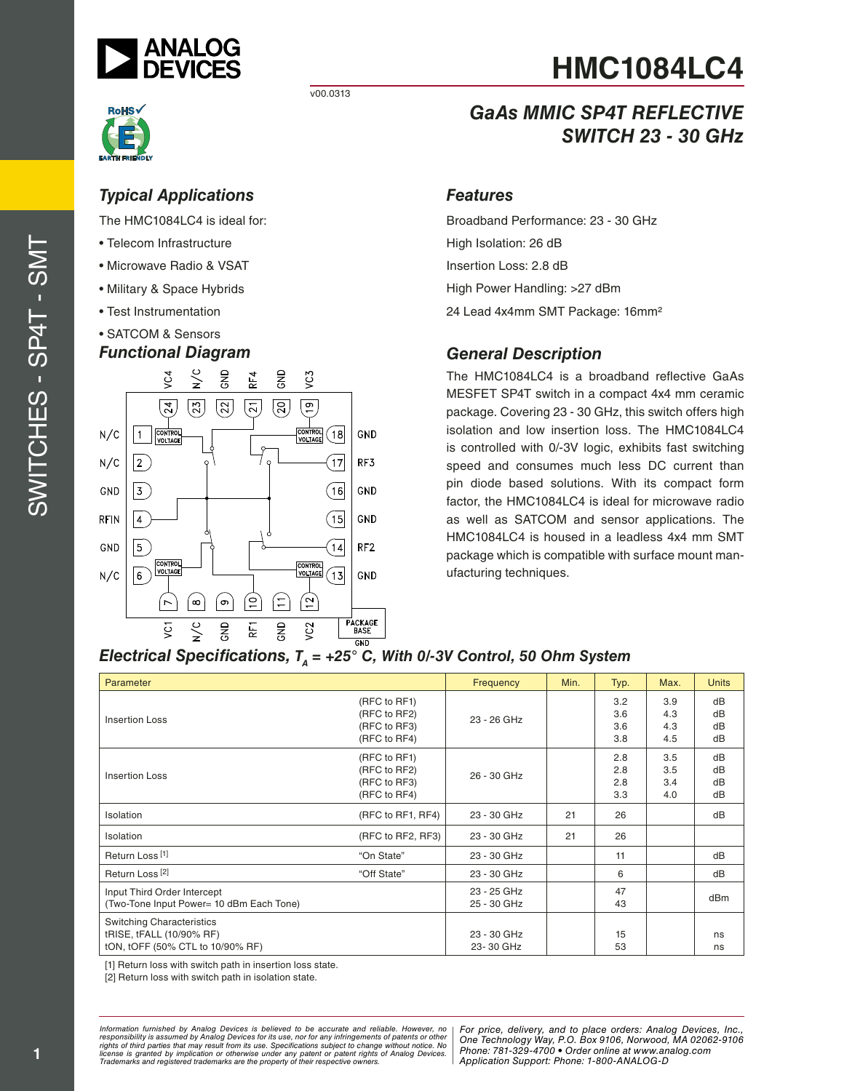

v00.0313

# *Typical Applications*

The HMC1084LC4 is ideal for:

- Telecom Infrastructure
- Microwave Radio & VSAT
- Military & Space Hybrids
- Test Instrumentation
- SATCOM & Sensors

# *Functional Diagram*



# **HMC1084LC4**

# *GaAs MMIC SP4T REFLECTIVE SWITCH 23 - 30 GHz*

#### *Features*

Broadband Performance: 23 - 30 GHz High Isolation: 26 dB Insertion Loss: 2.8 dB High Power Handling: >27 dBm 24 Lead 4x4mm SMT Package: 16mm²

### *General Description*

The HMC1084LC4 is a broadband reflective GaAs MESFET SP4T switch in a compact 4x4 mm ceramic package. Covering 23 - 30 GHz, this switch offers high isolation and low insertion loss. The HMC1084LC4 is controlled with 0/-3V logic, exhibits fast switching speed and consumes much less DC current than pin diode based solutions. With its compact form factor, the HMC1084LC4 is ideal for microwave radio as well as SATCOM and sensor applications. The HMC1084LC4 is housed in a leadless 4x4 mm SMT package which is compatible with surface mount manufacturing techniques.

#### *Electrical Specifications,*  $T_A = +25^\circ$  *C, With 0/-3V Control, 50 Ohm System*

| Parameter                                                                                        |                                                              | Frequency                  | Min. | Typ.                     | Max.                     | <b>Units</b>         |
|--------------------------------------------------------------------------------------------------|--------------------------------------------------------------|----------------------------|------|--------------------------|--------------------------|----------------------|
| <b>Insertion Loss</b>                                                                            | (RFC to RF1)<br>(RFC to RF2)<br>(RFC to RF3)<br>(RFC to RF4) | 23 - 26 GHz                |      | 3.2<br>3.6<br>3.6<br>3.8 | 3.9<br>4.3<br>4.3<br>4.5 | dB<br>dB<br>dB<br>dB |
| <b>Insertion Loss</b>                                                                            | (RFC to RF1)<br>(RFC to RF2)<br>(RFC to RF3)<br>(RFC to RF4) | 26 - 30 GHz                |      | 2.8<br>2.8<br>2.8<br>3.3 | 3.5<br>3.5<br>3.4<br>4.0 | dB<br>dB<br>dB<br>dB |
| Isolation                                                                                        | (RFC to RF1, RF4)                                            | 23 - 30 GHz                | 21   | 26                       |                          | dB                   |
| <b>Isolation</b>                                                                                 | (RFC to RF2, RF3)                                            | 23 - 30 GHz                | 21   | 26                       |                          |                      |
| Return Loss <sup>[1]</sup>                                                                       | "On State"                                                   | 23 - 30 GHz                |      | 11                       |                          | dB                   |
| Return Loss <sup>[2]</sup>                                                                       | "Off State"                                                  | 23 - 30 GHz                |      | 6                        |                          | dB                   |
| Input Third Order Intercept<br>(Two-Tone Input Power= 10 dBm Each Tone)                          |                                                              | 23 - 25 GHz<br>25 - 30 GHz |      | 47<br>43                 |                          | dBm                  |
| <b>Switching Characteristics</b><br>tRISE, tFALL (10/90% RF)<br>tON, tOFF (50% CTL to 10/90% RF) |                                                              | 23 - 30 GHz<br>23-30 GHz   |      | 15<br>53                 |                          | ns<br>ns             |

[1] Return loss with switch path in insertion loss state.

[2] Return loss with switch path in isolation state.

*Formation iurnished by Analog Devices is believed to be accurate and reliable. However, no Hor price, delivery, and to place orders: Analog Devices, In<br>roonsibility is assumed by Analog Devices for its use, nor for any pressult from its use. Specifications subject to change without notice. No*<br>ation or otherwise under any patent or patent rights of Analog Devices Phone: 781-329-4700 • Order online at ww *e* the property of their respective owners. **Application Support: Phone: 1-8** *Information furnished by Analog Devices is believed to be accurate and reliable. However, no*  responsibility is assumed by Analog Devices for its use, nor for any infringements of patents or other<br>rights of third parties that may result from its use. Specifications subject to change without notice. No<br>license is gr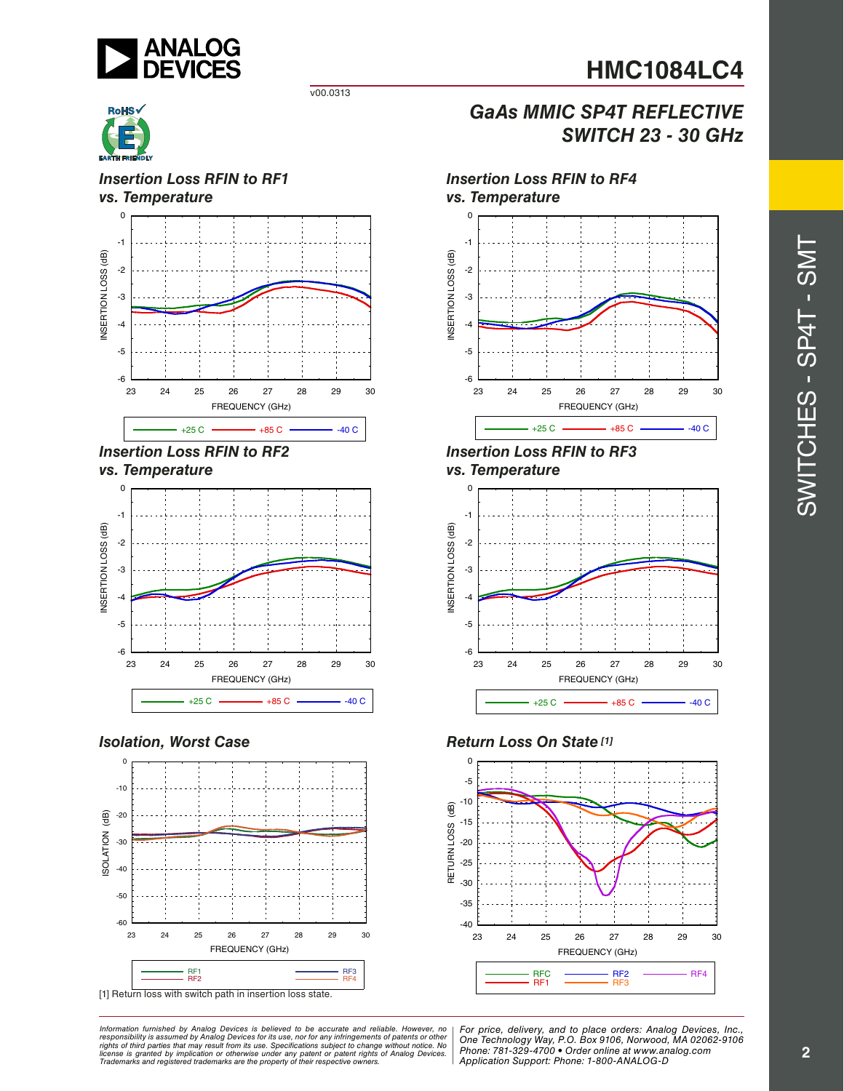

*SWITCH 23 - 30 GHz*

#### v00.0313



#### *Insertion Loss RFIN to RF1 vs. Temperature*







### *Isolation, Worst Case*



[1] Return loss with switch path in insertion loss state.

*Formation iurnished by Analog Devices is believed to be accurate and reliable. However, no Hor price, delivery, and to place orders: Analog Devices, In<br>roonsibility is assumed by Analog Devices for its use, nor for any pressult from its use. Specifications subject to change without notice. No*<br>ation or otherwise under any patent or patent rights of Analog Devices Phone: 781-329-4700 • Order online at ww *e* the property of their respective owners. **Application Support: Phone: 1-8** Information furnished by Analog Devices is believed to be accurate and reliable. However, no<br>responsibility is assumed by Analog Devices for its use, nor for any infringements of patents or other<br>rights of third parties th



*GaAs MMIC SP4T REFLECTIVE*

*Insertion Loss RFIN to RF3 vs. Temperature*



#### *Return Loss On State [1]*



*For price, delivery, and to place orders: Analog Devices, Inc., One Technology Way, P.O. Box 9106, Norwood, MA 02062-9106 Phone: 781-329-4700 • Order online at www.analog.com Application Support: Phone: 1-800-ANALOG-D*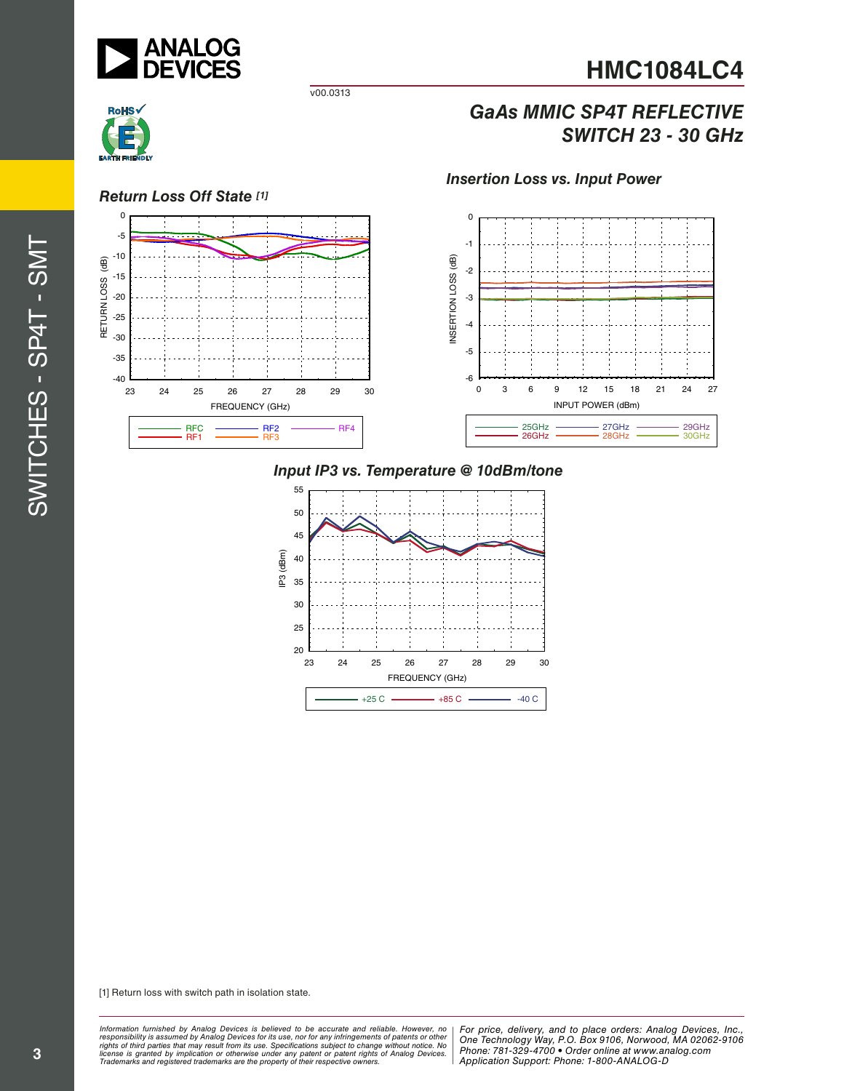

# *GaAs MMIC SP4T REFLECTIVE SWITCH 23 - 30 GHz*



-40 -35

#### *Return Loss Off State [1]* 0 -5 -10  $\overline{AB}$  RETURN LOSS (dB) -15 RETURN LOSS -20 -25  $-30$

23 24 25 26 27 28 29 30

FREQUENCY (GHz)

RFC <del>— RF2</del> <del>— RF4</del><br>RF1 <del>— RF</del>3 RF3

RFC<br>RF1

v00.0313



*Insertion Loss vs. Input Power*

# *Input IP3 vs. Temperature @ 10dBm/tone*



[1] Return loss with switch path in isolation state.

*Formation iurnished by Analog Devices is believed to be accurate and reliable. However, no Hor price, delivery, and to place orders: Analog Devices, In<br>roonsibility is assumed by Analog Devices for its use, nor for any pressult from its use. Specifications subject to change without notice. No*<br>ation or otherwise under any patent or patent rights of Analog Devices Phone: 781-329-4700 • Order online at ww *e* the property of their respective owners. **Application Support: Phone: 1-8** Information furnished by Analog Devices is believed to be accurate and reliable. However, no<br>responsibility is assumed by Analog Devices for its use, nor for any infringements of patents or other<br>rights of third parties th

**3**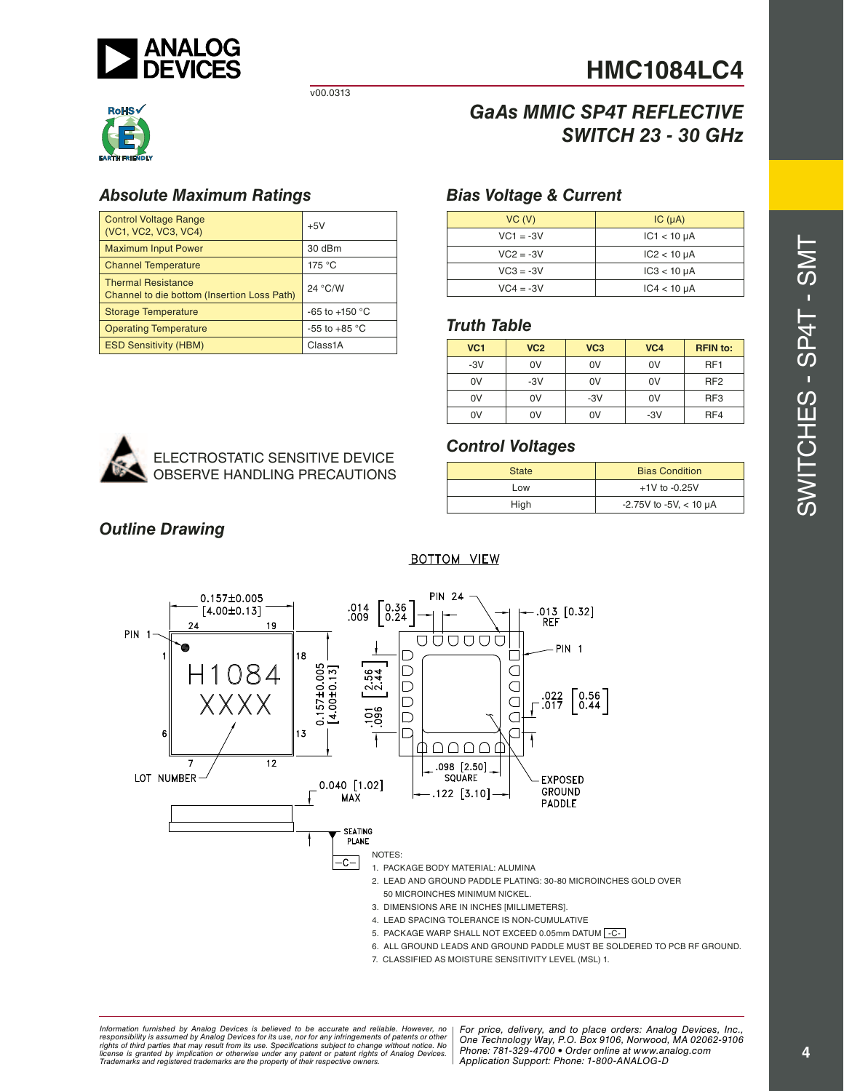

v00.0313



### *Absolute Maximum Ratings*

| <b>Control Voltage Range</b><br>(VC1, VC2, VC3, VC4)                     | $+5V$              |
|--------------------------------------------------------------------------|--------------------|
| <b>Maximum Input Power</b>                                               | 30 dBm             |
| <b>Channel Temperature</b>                                               | 175 °C             |
| <b>Thermal Resistance</b><br>Channel to die bottom (Insertion Loss Path) | 24 °C/W            |
| <b>Storage Temperature</b>                                               | $-65$ to $+150$ °C |
| <b>Operating Temperature</b>                                             | $-55$ to $+85$ °C  |
| <b>ESD Sensitivity (HBM)</b>                                             | Class1A            |

# *GaAs MMIC SP4T REFLECTIVE SWITCH 23 - 30 GHz*

#### *Bias Voltage & Current*

| VC (V)      | IC $(\mu A)$     |
|-------------|------------------|
| $VC1 = -3V$ | $IC1 < 10 \mu A$ |
| $VC2 = -3V$ | $IC2 < 10 \mu A$ |
| $VC3 = -3V$ | $IC3 < 10 \mu A$ |
| $VC4 = -3V$ | $IC4 < 10 \mu A$ |

#### *Truth Table*

| VC <sub>1</sub> | VC <sub>2</sub> | VC <sub>3</sub> | VC <sub>4</sub> | <b>RFIN</b> to: |
|-----------------|-----------------|-----------------|-----------------|-----------------|
| $-3V$           | 0V              | 0V              | 0V              | RF <sub>1</sub> |
| 0V              | $-3V$           | 0V              | 0V              | RF <sub>2</sub> |
| 0V              | 0V              | $-3V$           | 0V              | RF <sub>3</sub> |
| 0V              | 0V              | 0V              | $-3V$           | RF4             |



### *Control Voltages*

| <b>Bias Condition</b><br><b>State</b> |                                  |  |
|---------------------------------------|----------------------------------|--|
| Low                                   | $+1V$ to $-0.25V$                |  |
| High                                  | $-2.75V$ to $-5V$ , $< 10 \mu A$ |  |

### *Outline Drawing*

#### **BOTTOM VIEW**



7. CLASSIFIED AS MOISTURE SENSITIVITY LEVEL (MSL) 1.

ormation furnished by Analog Devices is believed to be accurate and reliable. However, no | For price, delivery, and to place orders: Analog Devices, Inc.,<br>popsibility is assumed by Analog Devices for its use, not for any *pressult from its use. Specifications subject to change without notice. No*<br>ation or otherwise under any patent or patent rights of Analog Devices Phone: 781-329-4700 • Order online at ww *e* the property of their respective owners. **Application Support: Phone: 1-8** *Information furnished by Analog Devices is believed to be accurate and reliable. However, no*  responsibility is assumed by Analog Devices for its use, nor for any infringements of patents or other<br>rights of third parties that may result from its use. Specifications subject to change without notice. No<br>license is gr

*Phone: 781-329-4700 • Order online at www.analog.com Application Support: Phone: 1-800-ANALOG-D*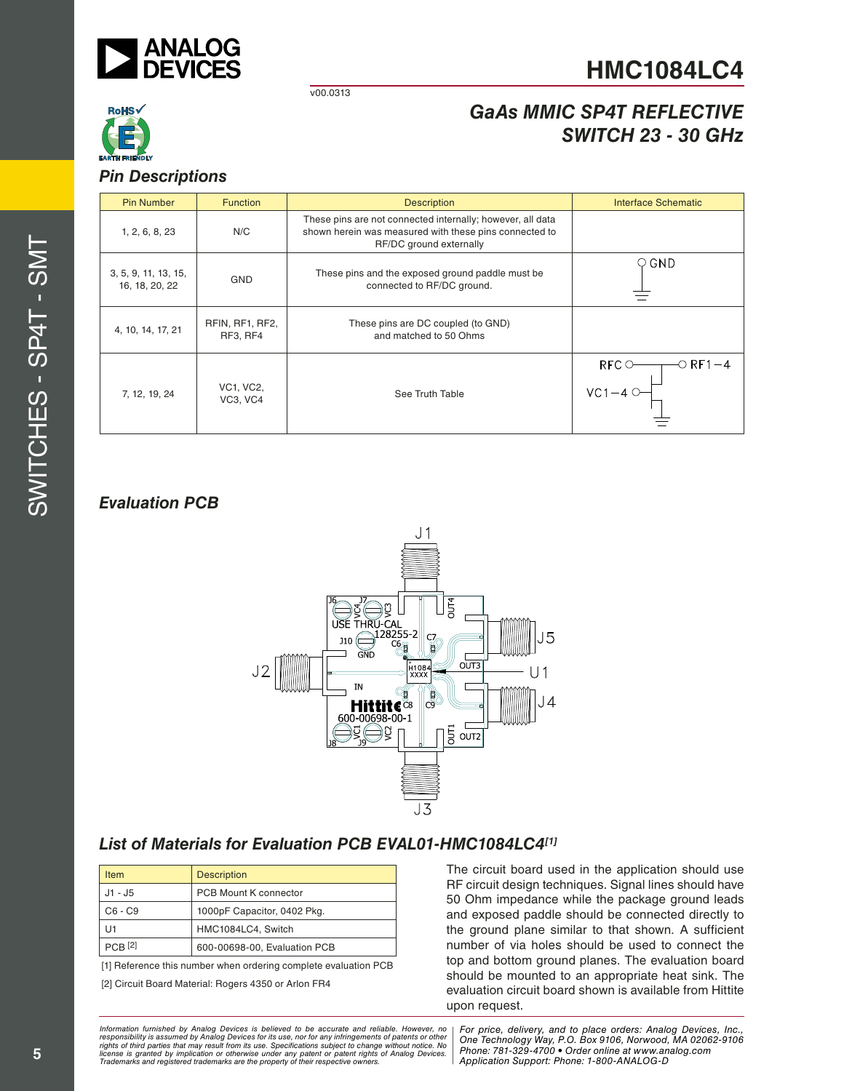

v00.0313

# *GaAs MMIC SP4T REFLECTIVE SWITCH 23 - 30 GHz*

#### *Pin Descriptions*

| <b>Pin Number</b>                      | <b>Function</b>              | <b>Description</b>                                                                                                                              | <b>Interface Schematic</b>                                 |  |
|----------------------------------------|------------------------------|-------------------------------------------------------------------------------------------------------------------------------------------------|------------------------------------------------------------|--|
| 1, 2, 6, 8, 23                         | N/C                          | These pins are not connected internally; however, all data<br>shown herein was measured with these pins connected to<br>RF/DC ground externally |                                                            |  |
| 3, 5, 9, 11, 13, 15,<br>16, 18, 20, 22 | <b>GND</b>                   | These pins and the exposed ground paddle must be<br>connected to RF/DC ground.                                                                  | $\circ$ GND                                                |  |
| 4, 10, 14, 17, 21                      | RFIN, RF1, RF2,<br>RF3, RF4  | These pins are DC coupled (to GND)<br>and matched to 50 Ohms                                                                                    |                                                            |  |
| 7, 12, 19, 24                          | <b>VC1, VC2,</b><br>VC3, VC4 | See Truth Table                                                                                                                                 | $RFC$ $\circlearrowright$<br>−O RF1 – 4<br>$VC1-4$ $\circ$ |  |

# *Evaluation PCB*



## *List of Materials for Evaluation PCB EVAL01-HMC1084LC4[1]*

| <b>Item</b>    | <b>Description</b>           |
|----------------|------------------------------|
| $J1 - J5$      | <b>PCB Mount K connector</b> |
| C6 - C9        | 1000pF Capacitor, 0402 Pkg.  |
| l J1           | HMC1084LC4, Switch           |
| <b>PCB</b> [2] | 600-00698-00, Evaluation PCB |

[1] Reference this number when ordering complete evaluation PCB

[2] Circuit Board Material: Rogers 4350 or Arlon FR4

The circuit board used in the application should use RF circuit design techniques. Signal lines should have 50 Ohm impedance while the package ground leads and exposed paddle should be connected directly to the ground plane similar to that shown. A sufficient number of via holes should be used to connect the top and bottom ground planes. The evaluation board should be mounted to an appropriate heat sink. The evaluation circuit board shown is available from Hittite upon request.

*Formation iurnished by Analog Devices is believed to be accurate and reliable. However, no Hor price, delivery, and to place orders: Analog Devices, In<br>roonsibility is assumed by Analog Devices for its use, nor for any pressult from its use. Specifications subject to change without notice. No*<br>ation or otherwise under any patent or patent rights of Analog Devices Phone: 781-329-4700 • Order online at ww *e* the property of their respective owners. **Application Support: Phone: 1-8** Information furnished by Analog Devices is believed to be accurate and reliable. However, no<br>responsibility is assumed by Analog Devices for its use, nor for any infringements of patents or other<br>rights of third parties th